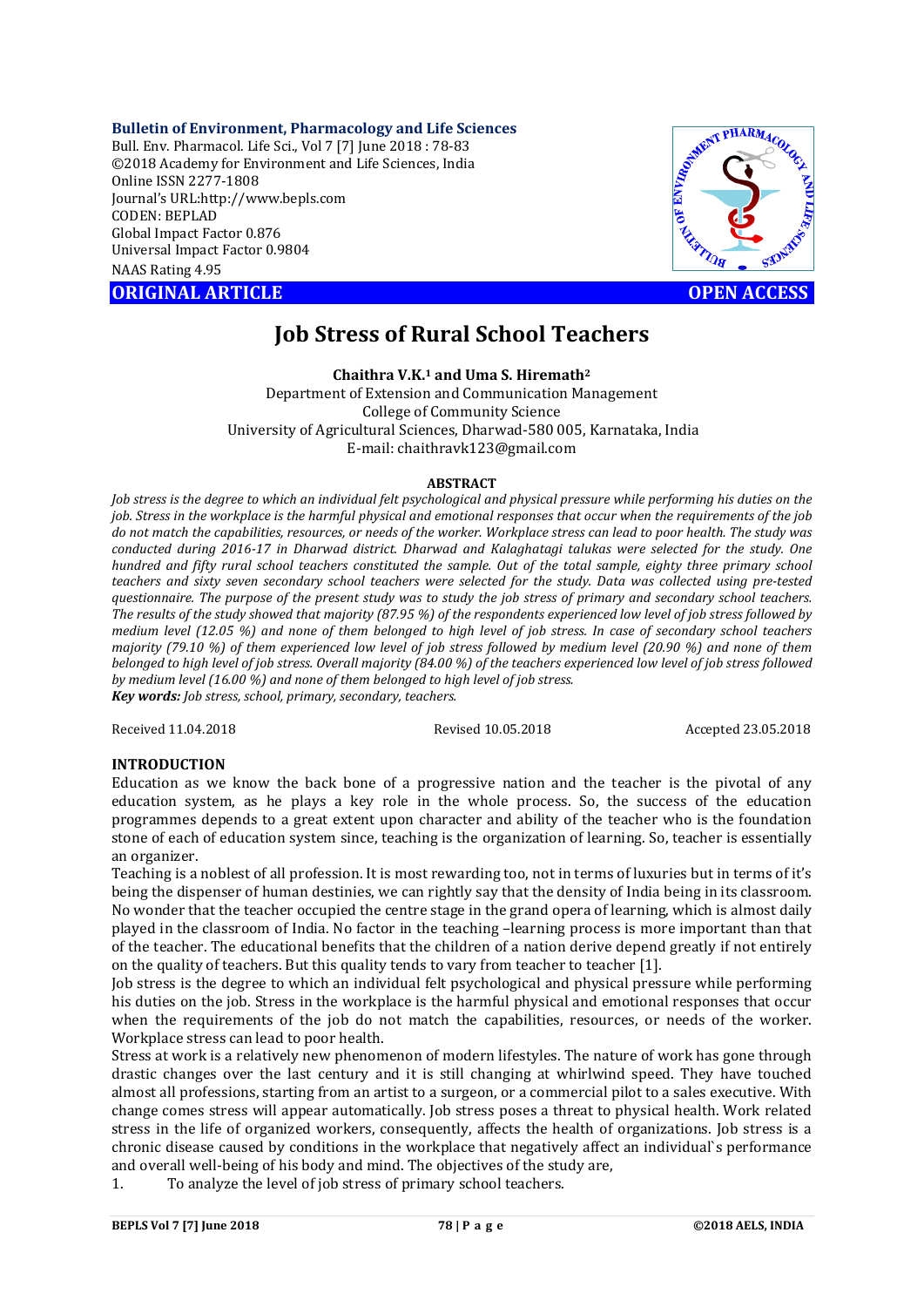## **Bulletin of Environment, Pharmacology and Life Sciences**

Bull. Env. Pharmacol. Life Sci., Vol 7 [7] June 2018 : 78-83 ©2018 Academy for Environment and Life Sciences, India Online ISSN 2277-1808 Journal's URL:http://www.bepls.com CODEN: BEPLAD Global Impact Factor 0.876 Universal Impact Factor 0.9804 NAAS Rating 4.95 CORIGINAL ARTICLE<br>
ORIGINAL ARTICLE<br>
ORIGINAL ARTICLE<br>
ORIGINAL ARTICLE<br>
ORIGINAL ARTICLE<br>
ORIGINAL ARTICLE<br>
ORIGINAL ARTICLE<br>
ORIGINAL ARTICLE<br>
OPEN ACCESS



# **Job Stress of Rural School Teachers**

## **Chaithra V.K.1 and Uma S. Hiremath2**

Department of Extension and Communication Management College of Community Science University of Agricultural Sciences, Dharwad-580 005, Karnataka, India E-mail: chaithravk123@gmail.com

#### **ABSTRACT**

*Job stress is the degree to which an individual felt psychological and physical pressure while performing his duties on the job. Stress in the workplace is the harmful physical and emotional responses that occur when the requirements of the job do not match the capabilities, resources, or needs of the worker. Workplace stress can lead to poor health. The study was conducted during 2016-17 in Dharwad district. Dharwad and Kalaghatagi talukas were selected for the study. One hundred and fifty rural school teachers constituted the sample. Out of the total sample, eighty three primary school teachers and sixty seven secondary school teachers were selected for the study. Data was collected using pre-tested questionnaire. The purpose of the present study was to study the job stress of primary and secondary school teachers. The results of the study showed that majority (87.95 %) of the respondents experienced low level of job stress followed by medium level (12.05 %) and none of them belonged to high level of job stress. In case of secondary school teachers majority (79.10 %) of them experienced low level of job stress followed by medium level (20.90 %) and none of them belonged to high level of job stress. Overall majority (84.00 %) of the teachers experienced low level of job stress followed by medium level (16.00 %) and none of them belonged to high level of job stress. Key words: Job stress, school, primary, secondary, teachers.*

Received 11.04.2018 Revised 10.05.2018 Accepted 23.05.2018

# **INTRODUCTION**

Education as we know the back bone of a progressive nation and the teacher is the pivotal of any education system, as he plays a key role in the whole process. So, the success of the education programmes depends to a great extent upon character and ability of the teacher who is the foundation stone of each of education system since, teaching is the organization of learning. So, teacher is essentially an organizer.

Teaching is a noblest of all profession. It is most rewarding too, not in terms of luxuries but in terms of it's being the dispenser of human destinies, we can rightly say that the density of India being in its classroom. No wonder that the teacher occupied the centre stage in the grand opera of learning, which is almost daily played in the classroom of India. No factor in the teaching –learning process is more important than that of the teacher. The educational benefits that the children of a nation derive depend greatly if not entirely on the quality of teachers. But this quality tends to vary from teacher to teacher [1].

Job stress is the degree to which an individual felt psychological and physical pressure while performing his duties on the job. Stress in the workplace is the harmful physical and emotional responses that occur when the requirements of the job do not match the capabilities, resources, or needs of the worker. Workplace stress can lead to poor health.

Stress at work is a relatively new phenomenon of modern lifestyles. The nature of work has gone through drastic changes over the last century and it is still changing at whirlwind speed. They have touched almost all professions, starting from an artist to a surgeon, or a commercial pilot to a sales executive. With change comes stress will appear automatically. Job stress poses a threat to physical health. Work related stress in the life of organized workers, consequently, affects the health of organizations. Job stress is a chronic disease caused by conditions in the workplace that negatively affect an individual`s performance and overall well-being of his body and mind. The objectives of the study are,

1. To analyze the level of job stress of primary school teachers.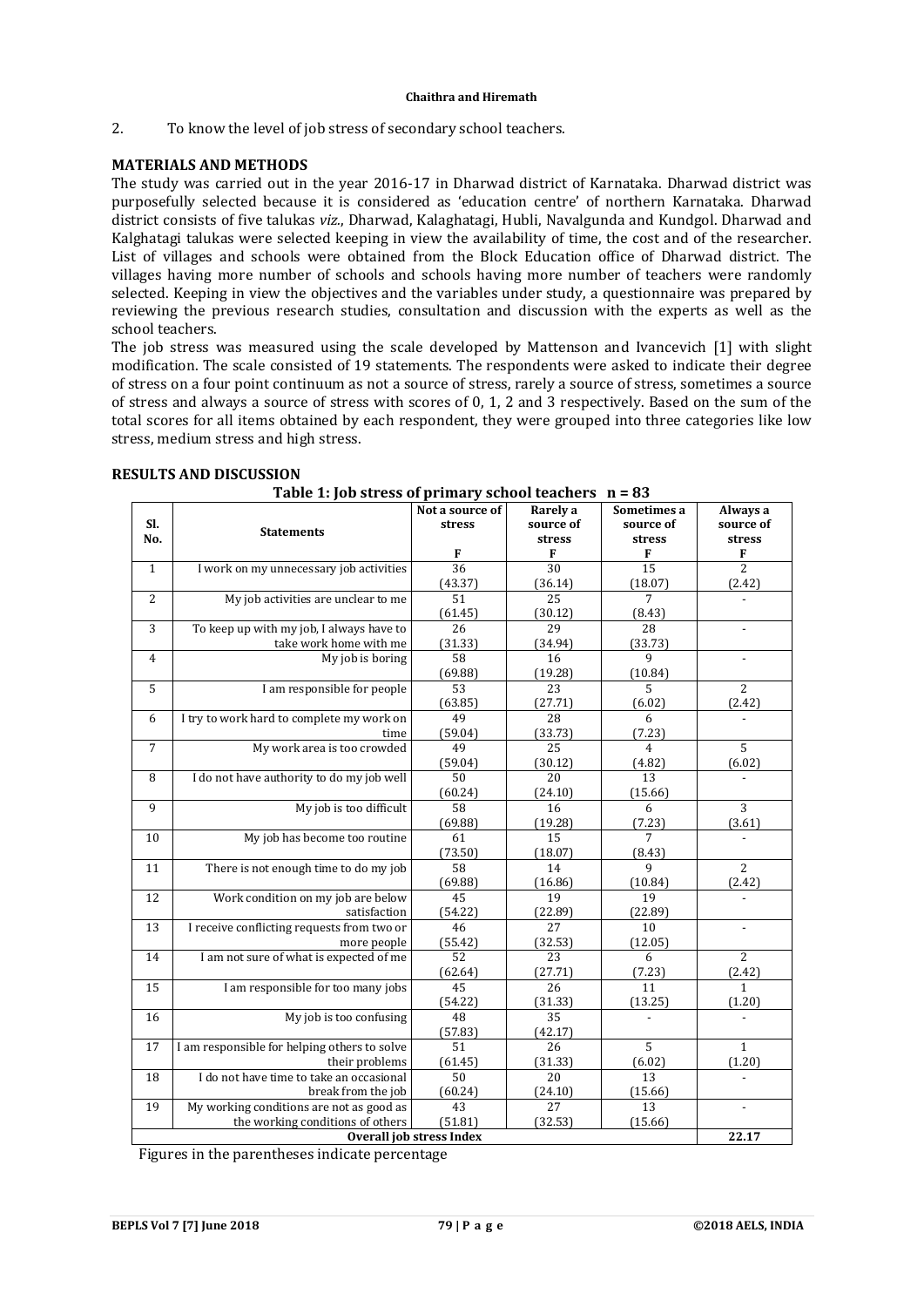2. To know the level of job stress of secondary school teachers.

# **MATERIALS AND METHODS**

The study was carried out in the year 2016-17 in Dharwad district of Karnataka. Dharwad district was purposefully selected because it is considered as 'education centre' of northern Karnataka. Dharwad district consists of five talukas *viz.*, Dharwad, Kalaghatagi, Hubli, Navalgunda and Kundgol. Dharwad and Kalghatagi talukas were selected keeping in view the availability of time, the cost and of the researcher. List of villages and schools were obtained from the Block Education office of Dharwad district. The villages having more number of schools and schools having more number of teachers were randomly selected. Keeping in view the objectives and the variables under study, a questionnaire was prepared by reviewing the previous research studies, consultation and discussion with the experts as well as the school teachers.

The job stress was measured using the scale developed by Mattenson and Ivancevich [1] with slight modification. The scale consisted of 19 statements. The respondents were asked to indicate their degree of stress on a four point continuum as not a source of stress, rarely a source of stress, sometimes a source of stress and always a source of stress with scores of 0, 1, 2 and 3 respectively. Based on the sum of the total scores for all items obtained by each respondent, they were grouped into three categories like low stress, medium stress and high stress.

| os ser ess or primary sensor teachers<br>Not a source of<br>Rarely a<br>Sometimes a |                                              |                 |                 |                 |                          |  |  |
|-------------------------------------------------------------------------------------|----------------------------------------------|-----------------|-----------------|-----------------|--------------------------|--|--|
| SI.                                                                                 |                                              | stress          | source of       | source of       | Always a<br>source of    |  |  |
| No.                                                                                 | <b>Statements</b>                            |                 | stress          | stress          | stress                   |  |  |
|                                                                                     |                                              | F               | F               | F               | F                        |  |  |
| $\mathbf{1}$                                                                        | I work on my unnecessary job activities      | $\overline{36}$ | $\overline{30}$ | $\overline{15}$ | $\overline{2}$           |  |  |
|                                                                                     |                                              | (43.37)         | (36.14)         | (18.07)         | (2.42)                   |  |  |
| $\overline{2}$                                                                      | My job activities are unclear to me          | 51              | 25              | $\overline{7}$  |                          |  |  |
|                                                                                     |                                              | (61.45)         | (30.12)         | (8.43)          |                          |  |  |
| 3                                                                                   | To keep up with my job, I always have to     | 26              | 29              | 28              | $\blacksquare$           |  |  |
|                                                                                     | take work home with me                       | (31.33)         | (34.94)         | (33.73)         |                          |  |  |
| $\overline{4}$                                                                      | My job is boring                             | 58              | 16              | 9               | $\overline{\phantom{a}}$ |  |  |
|                                                                                     |                                              | (69.88)         | (19.28)         | (10.84)         |                          |  |  |
| 5                                                                                   | I am responsible for people                  | 53              | 23              | 5               | $\overline{2}$           |  |  |
|                                                                                     |                                              | (63.85)         | (27.71)         | (6.02)          | (2.42)                   |  |  |
| 6                                                                                   | I try to work hard to complete my work on    | 49              | 28              | 6               |                          |  |  |
|                                                                                     | time                                         | (59.04)         | (33.73)         | (7.23)          |                          |  |  |
| $\overline{7}$                                                                      | My work area is too crowded                  | 49              | $\overline{25}$ | 4               | 5                        |  |  |
|                                                                                     |                                              | (59.04)         | (30.12)         | (4.82)          | (6.02)                   |  |  |
| 8                                                                                   | I do not have authority to do my job well    | 50              | 20              | 13              |                          |  |  |
|                                                                                     |                                              | (60.24)         | (24.10)         | (15.66)         |                          |  |  |
| 9                                                                                   | My job is too difficult                      | 58              | 16              | 6               | 3                        |  |  |
|                                                                                     |                                              | (69.88)         | (19.28)         | (7.23)          | (3.61)                   |  |  |
| 10                                                                                  | My job has become too routine                | 61              | 15              | 7               |                          |  |  |
|                                                                                     |                                              | (73.50)         | (18.07)         | (8.43)          |                          |  |  |
| 11                                                                                  | There is not enough time to do my job        | 58              | 14              | 9               | $\overline{2}$           |  |  |
|                                                                                     |                                              | (69.88)         | (16.86)         | (10.84)         | (2.42)                   |  |  |
| 12                                                                                  | Work condition on my job are below           | 45              | 19              | 19              |                          |  |  |
|                                                                                     | satisfaction                                 | (54.22)         | (22.89)         | (22.89)         |                          |  |  |
| 13                                                                                  | I receive conflicting requests from two or   | 46              | 27              | 10              | $\blacksquare$           |  |  |
|                                                                                     | more people                                  | (55.42)         | (32.53)         | (12.05)         |                          |  |  |
| 14                                                                                  | I am not sure of what is expected of me      | 52              | 23              | 6               | $\overline{2}$           |  |  |
|                                                                                     |                                              | (62.64)         | (27.71)         | (7.23)          | (2.42)                   |  |  |
| 15                                                                                  | I am responsible for too many jobs           | 45              | $\overline{26}$ | 11              | $\mathbf{1}$             |  |  |
|                                                                                     |                                              | (54.22)         | (31.33)         | (13.25)         | (1.20)                   |  |  |
| 16                                                                                  | My job is too confusing                      | 48              | 35              |                 |                          |  |  |
|                                                                                     |                                              | (57.83)         | (42.17)         |                 |                          |  |  |
| 17                                                                                  | I am responsible for helping others to solve | 51              | 26              | 5               | $\mathbf{1}$             |  |  |
|                                                                                     | their problems                               | (61.45)         | (31.33)         | (6.02)          | (1.20)                   |  |  |
| 18                                                                                  | I do not have time to take an occasional     | 50              | 20              | 13              |                          |  |  |
|                                                                                     | break from the job                           | (60.24)         | (24.10)         | (15.66)         |                          |  |  |
| 19                                                                                  | My working conditions are not as good as     | 43              | 27              | 13              | $\blacksquare$           |  |  |
|                                                                                     | the working conditions of others             | (51.81)         | (32.53)         | (15.66)         | 22.17                    |  |  |
| <b>Overall job stress Index</b>                                                     |                                              |                 |                 |                 |                          |  |  |

## **RESULTS AND DISCUSSION**

**Table 1: Job stress of primary school teachers n = 83**

Figures in the parentheses indicate percentage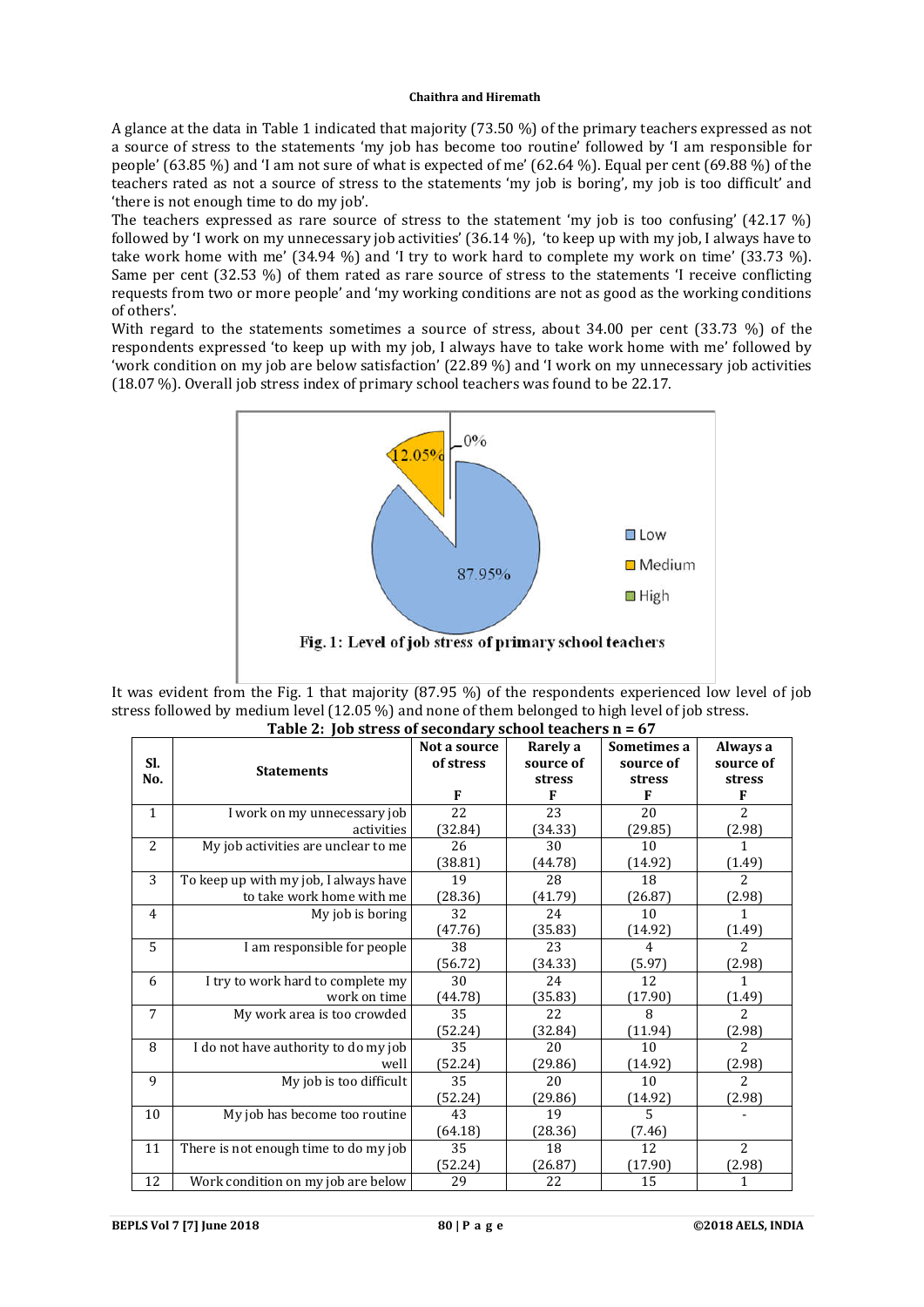A glance at the data in Table 1 indicated that majority (73.50 %) of the primary teachers expressed as not a source of stress to the statements 'my job has become too routine' followed by 'I am responsible for people' (63.85 %) and 'I am not sure of what is expected of me' (62.64 %). Equal per cent (69.88 %) of the teachers rated as not a source of stress to the statements 'my job is boring', my job is too difficult' and 'there is not enough time to do my job'.

The teachers expressed as rare source of stress to the statement 'my job is too confusing' (42.17 %) followed by 'I work on my unnecessary job activities' (36.14 %), 'to keep up with my job, I always have to take work home with me' (34.94 %) and 'I try to work hard to complete my work on time' (33.73 %). Same per cent (32.53 %) of them rated as rare source of stress to the statements 'I receive conflicting requests from two or more people' and 'my working conditions are not as good as the working conditions of others'.

With regard to the statements sometimes a source of stress, about 34.00 per cent (33.73 %) of the respondents expressed 'to keep up with my job, I always have to take work home with me' followed by 'work condition on my job are below satisfaction' (22.89 %) and 'I work on my unnecessary job activities (18.07 %). Overall job stress index of primary school teachers was found to be 22.17.



It was evident from the Fig. 1 that majority (87.95 %) of the respondents experienced low level of job stress followed by medium level (12.05 %) and none of them belonged to high level of job stress. **Table 2: Job stress of secondary school teachers n = 67**

| Table 2: Job stress of secondary school teachers if = 67 |                                       |              |           |                |                |  |  |
|----------------------------------------------------------|---------------------------------------|--------------|-----------|----------------|----------------|--|--|
|                                                          |                                       | Not a source | Rarely a  | Sometimes a    | Always a       |  |  |
| Sl.                                                      | <b>Statements</b>                     | of stress    | source of | source of      | source of      |  |  |
| No.                                                      |                                       |              | stress    | stress         | stress         |  |  |
|                                                          |                                       |              | F         | F              | F              |  |  |
| 1                                                        | I work on my unnecessary job          | 22           | 23        | 20             | $\mathcal{L}$  |  |  |
|                                                          | activities                            | (32.84)      | (34.33)   | (29.85)        | (2.98)         |  |  |
| $\overline{2}$                                           | My job activities are unclear to me   | 26           | 30        | 10             | 1              |  |  |
|                                                          |                                       | (38.81)      | (44.78)   | (14.92)        | (1.49)         |  |  |
| 3                                                        | To keep up with my job, I always have | 19           | 28        | 18             | $\overline{2}$ |  |  |
|                                                          | to take work home with me             | (28.36)      | (41.79)   | (26.87)        | (2.98)         |  |  |
| $\overline{4}$                                           | My job is boring                      | 32           | 24        | 10             | 1              |  |  |
|                                                          |                                       | (47.76)      | (35.83)   | (14.92)        | (1.49)         |  |  |
| 5                                                        | I am responsible for people           | 38           | 23        | $\overline{4}$ | $\overline{a}$ |  |  |
|                                                          |                                       | (56.72)      | (34.33)   | (5.97)         | (2.98)         |  |  |
| 6                                                        | I try to work hard to complete my     | 30           | 24        | 12             | 1              |  |  |
|                                                          | work on time                          | (44.78)      | (35.83)   | (17.90)        | (1.49)         |  |  |
| 7                                                        | My work area is too crowded           | 35           | 22        | 8              | $\overline{2}$ |  |  |
|                                                          |                                       | (52.24)      | (32.84)   | (11.94)        | (2.98)         |  |  |
| 8                                                        | I do not have authority to do my job  | 35           | 20        | 10             | $\overline{2}$ |  |  |
|                                                          | well                                  | (52.24)      | (29.86)   | (14.92)        | (2.98)         |  |  |
| 9                                                        | My job is too difficult               | 35           | 20        | 10             | $\overline{2}$ |  |  |
|                                                          |                                       | (52.24)      | (29.86)   | (14.92)        | (2.98)         |  |  |
| 10                                                       | My job has become too routine         | 43           | 19        | 5              |                |  |  |
|                                                          |                                       | (64.18)      | (28.36)   | (7.46)         |                |  |  |
| 11                                                       | There is not enough time to do my job | 35           | 18        | 12             | $\overline{c}$ |  |  |
|                                                          |                                       | (52.24)      | (26.87)   | (17.90)        | (2.98)         |  |  |
| 12                                                       | Work condition on my job are below    | 29           | 22        | 15             | 1              |  |  |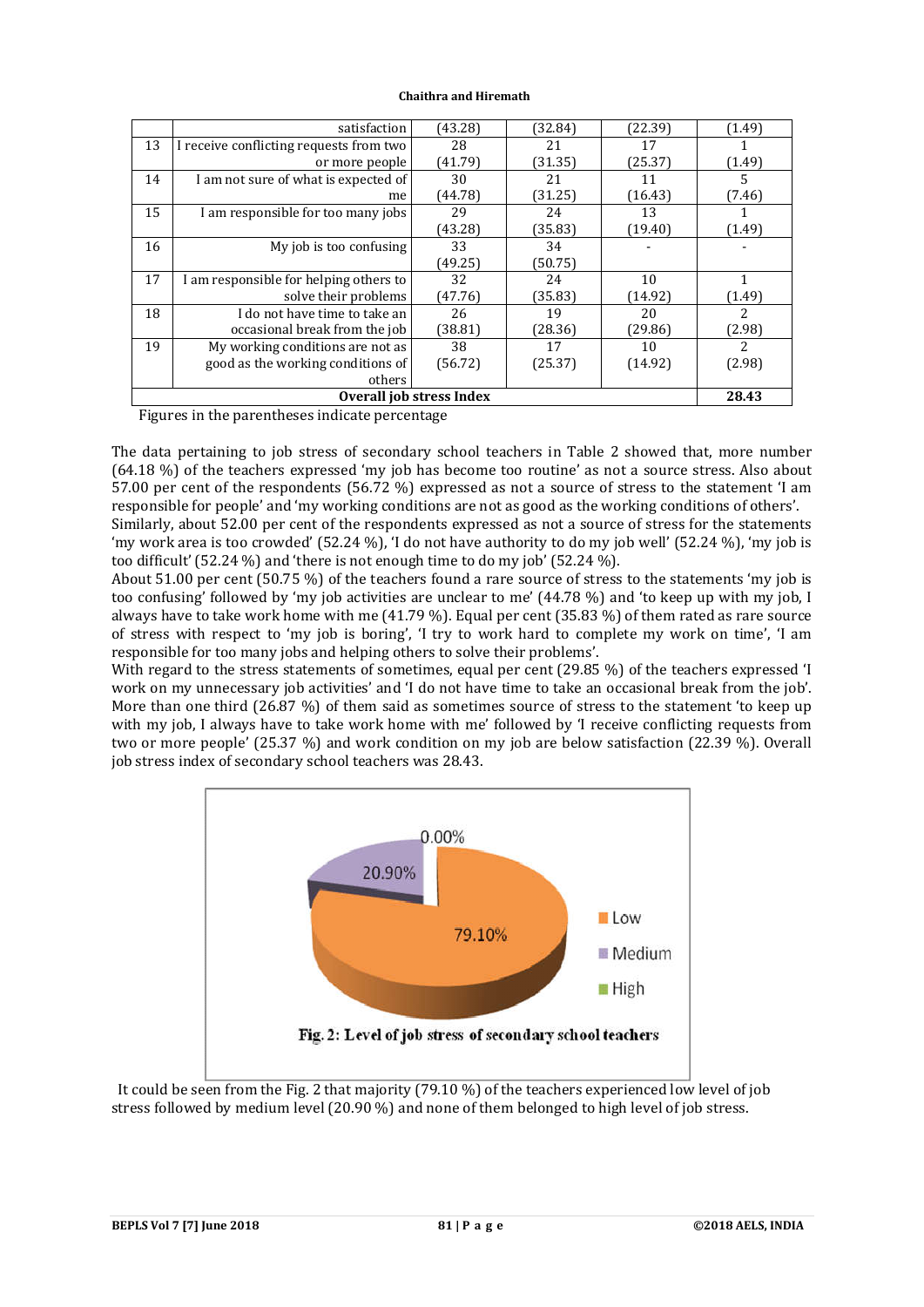|                                                   | satisfaction                            | (43.28) | (32.84) | (22.39) | (1.49) |  |
|---------------------------------------------------|-----------------------------------------|---------|---------|---------|--------|--|
| 13                                                | I receive conflicting requests from two | 28      | 21      | 17      |        |  |
|                                                   | or more people                          | (41.79) | (31.35) | (25.37) | (1.49) |  |
| 14                                                | I am not sure of what is expected of    | 30      | 21      | 11      | 5      |  |
|                                                   | me                                      | (44.78) | (31.25) | (16.43) | (7.46) |  |
| 15                                                | I am responsible for too many jobs      | 29      | 24      | 13      |        |  |
|                                                   |                                         | (43.28) | (35.83) | (19.40) | (1.49) |  |
| 16                                                | My job is too confusing                 | 33      | 34      |         |        |  |
|                                                   |                                         | (49.25) | (50.75) |         |        |  |
| 17                                                | I am responsible for helping others to  | 32      | 24      | 10      |        |  |
|                                                   | solve their problems                    | (47.76) | (35.83) | (14.92) | (1.49) |  |
| 18                                                | I do not have time to take an           | 26      | 19      | 20      | 2      |  |
|                                                   | occasional break from the job           | (38.81) | (28.36) | (29.86) | (2.98) |  |
| 19                                                | My working conditions are not as        | 38      | 17      | 10      | 2.     |  |
|                                                   | good as the working conditions of       | (56.72) | (25.37) | (14.92) | (2.98) |  |
|                                                   | others                                  |         |         |         |        |  |
| Overall job stress Index                          |                                         |         |         |         |        |  |
| Eigeness in this nononthopes in disate monopoters |                                         |         |         |         |        |  |

Figures in the parentheses indicate percentage

The data pertaining to job stress of secondary school teachers in Table 2 showed that, more number (64.18 %) of the teachers expressed 'my job has become too routine' as not a source stress. Also about 57.00 per cent of the respondents (56.72 %) expressed as not a source of stress to the statement 'I am responsible for people' and 'my working conditions are not as good as the working conditions of others'.

Similarly, about 52.00 per cent of the respondents expressed as not a source of stress for the statements 'my work area is too crowded' (52.24 %), 'I do not have authority to do my job well' (52.24 %), 'my job is too difficult' (52.24 %) and 'there is not enough time to do my job' (52.24 %).

About 51.00 per cent (50.75 %) of the teachers found a rare source of stress to the statements 'my job is too confusing' followed by 'my job activities are unclear to me' (44.78 %) and 'to keep up with my job, I always have to take work home with me (41.79 %). Equal per cent (35.83 %) of them rated as rare source of stress with respect to 'my job is boring', 'I try to work hard to complete my work on time', 'I am responsible for too many jobs and helping others to solve their problems'.

With regard to the stress statements of sometimes, equal per cent (29.85 %) of the teachers expressed 'I work on my unnecessary job activities' and 'I do not have time to take an occasional break from the job'. More than one third (26.87 %) of them said as sometimes source of stress to the statement 'to keep up with my job, I always have to take work home with me' followed by 'I receive conflicting requests from two or more people' (25.37 %) and work condition on my job are below satisfaction (22.39 %). Overall job stress index of secondary school teachers was 28.43.



 It could be seen from the Fig. 2 that majority (79.10 %) of the teachers experienced low level of job stress followed by medium level (20.90 %) and none of them belonged to high level of job stress.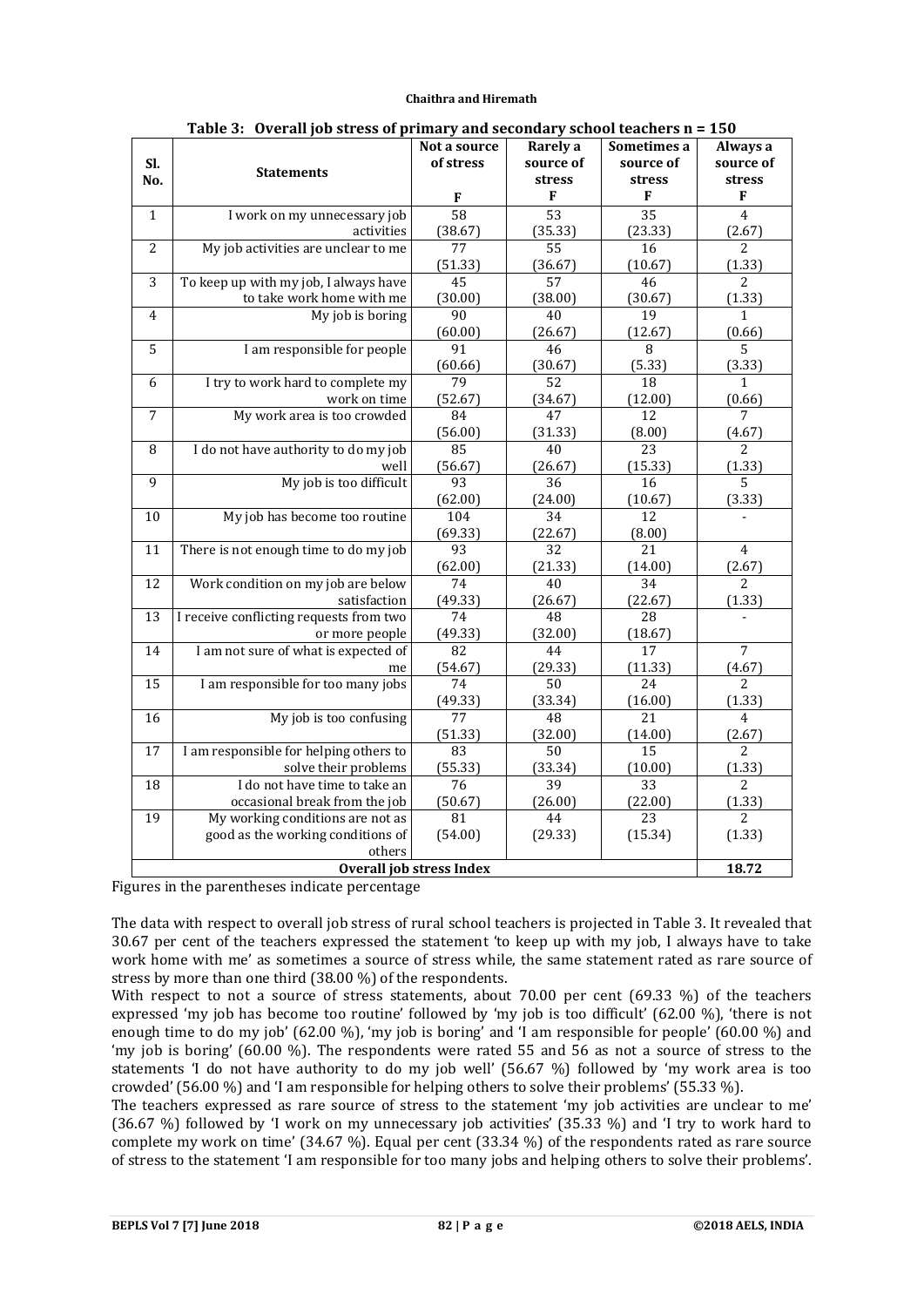|                 |                                                         | лтнит у ини эссониит у эспоот ссиснегэ г<br>Not a source | Rarely a        | Sometimes a     | ∸∪⊽<br>Always a |
|-----------------|---------------------------------------------------------|----------------------------------------------------------|-----------------|-----------------|-----------------|
| SI.             |                                                         | of stress                                                | source of       | source of       | source of       |
| No.             | <b>Statements</b>                                       |                                                          | stress          | stress          | stress          |
|                 |                                                         | F                                                        | F               | F               | F               |
| $\mathbf{1}$    | I work on my unnecessary job                            | 58                                                       | $\overline{53}$ | $\overline{35}$ | $\overline{4}$  |
|                 | activities                                              | (38.67)                                                  | (35.33)         | (23.33)         | (2.67)          |
| $\overline{2}$  | My job activities are unclear to me                     | 77                                                       | 55              | 16              | $\overline{2}$  |
|                 |                                                         | (51.33)                                                  | (36.67)         | (10.67)         | (1.33)          |
| $\overline{3}$  | To keep up with my job, I always have                   | 45                                                       | 57              | 46              | $\overline{2}$  |
|                 | to take work home with me                               | (30.00)                                                  | (38.00)         | (30.67)         | (1.33)          |
| 4               | My job is boring                                        | 90                                                       | 40              | 19              | $\mathbf{1}$    |
|                 |                                                         | (60.00)                                                  | (26.67)         | (12.67)         | (0.66)          |
| $\overline{5}$  | I am responsible for people                             | $\overline{91}$                                          | 46              | $\overline{8}$  | $\overline{5}$  |
|                 |                                                         | (60.66)                                                  | (30.67)         | (5.33)          | (3.33)          |
| 6               | I try to work hard to complete my                       | 79                                                       | 52              | 18              | 1               |
|                 | work on time                                            | (52.67)                                                  | (34.67)         | (12.00)         | (0.66)          |
| $\overline{7}$  | My work area is too crowded                             | 84                                                       | 47              | $\overline{12}$ | $\overline{7}$  |
|                 |                                                         | (56.00)                                                  | (31.33)         | (8.00)          | (4.67)          |
| 8               | I do not have authority to do my job                    | 85                                                       | 40              | $\overline{23}$ | $\overline{2}$  |
|                 | well                                                    | (56.67)                                                  | (26.67)         | (15.33)         | (1.33)          |
| 9               | My job is too difficult                                 | 93                                                       | 36              | 16              | 5               |
|                 |                                                         | (62.00)                                                  | (24.00)         | (10.67)         | (3.33)          |
| 10              | My job has become too routine                           | 104                                                      | $\overline{34}$ | $\overline{12}$ |                 |
|                 |                                                         | (69.33)                                                  | (22.67)         | (8.00)          |                 |
| 11              | There is not enough time to do my job                   | $\overline{93}$                                          | $\overline{32}$ | 21              | $\overline{4}$  |
|                 |                                                         | (62.00)                                                  | (21.33)         | (14.00)         | (2.67)          |
| 12              | Work condition on my job are below                      | 74                                                       | 40              | 34              | 2<br>(1.33)     |
| 13              | satisfaction<br>I receive conflicting requests from two | (49.33)<br>74                                            | (26.67)<br>48   | (22.67)<br>28   |                 |
|                 | or more people                                          | (49.33)                                                  | (32.00)         | (18.67)         |                 |
| 14              | I am not sure of what is expected of                    | 82                                                       | 44              | 17              | $\overline{7}$  |
|                 | me                                                      | (54.67)                                                  | (29.33)         | (11.33)         | (4.67)          |
| 15              | I am responsible for too many jobs                      | 74                                                       | 50              | 24              | $\overline{a}$  |
|                 |                                                         | (49.33)                                                  | (33.34)         | (16.00)         | (1.33)          |
| 16              | My job is too confusing                                 | 77                                                       | 48              | 21              | $\overline{4}$  |
|                 |                                                         | (51.33)                                                  | (32.00)         | (14.00)         | (2.67)          |
| 17              | I am responsible for helping others to                  | 83                                                       | 50              | 15              | 2               |
|                 | solve their problems                                    | (55.33)                                                  | (33.34)         | (10.00)         | (1.33)          |
| $\overline{18}$ | I do not have time to take an                           | $\overline{76}$                                          | $\overline{39}$ | $\overline{33}$ | $\overline{2}$  |
|                 | occasional break from the job                           | (50.67)                                                  | (26.00)         | (22.00)         | (1.33)          |
| 19              | My working conditions are not as                        | 81                                                       | 44              | 23              | $\overline{2}$  |
|                 | good as the working conditions of                       | (54.00)                                                  | (29.33)         | (15.34)         | (1.33)          |
|                 | others                                                  |                                                          |                 |                 |                 |
|                 |                                                         | <b>Overall job stress Index</b>                          |                 |                 | 18.72           |

|  |  | Table 3: Overall job stress of primary and secondary school teachers $n = 150$ |  |
|--|--|--------------------------------------------------------------------------------|--|
|  |  |                                                                                |  |

Figures in the parentheses indicate percentage

The data with respect to overall job stress of rural school teachers is projected in Table 3. It revealed that 30.67 per cent of the teachers expressed the statement 'to keep up with my job, I always have to take work home with me' as sometimes a source of stress while, the same statement rated as rare source of stress by more than one third (38.00 %) of the respondents.

With respect to not a source of stress statements, about 70.00 per cent (69.33  $\%$ ) of the teachers expressed 'my job has become too routine' followed by 'my job is too difficult' (62.00 %), 'there is not enough time to do my job' (62.00 %), 'my job is boring' and 'I am responsible for people' (60.00 %) and 'my job is boring' (60.00 %). The respondents were rated 55 and 56 as not a source of stress to the statements 'I do not have authority to do my job well' (56.67 %) followed by 'my work area is too crowded' (56.00 %) and 'I am responsible for helping others to solve their problems' (55.33 %).

The teachers expressed as rare source of stress to the statement 'my job activities are unclear to me' (36.67 %) followed by 'I work on my unnecessary job activities' (35.33 %) and 'I try to work hard to complete my work on time' (34.67 %). Equal per cent (33.34 %) of the respondents rated as rare source of stress to the statement 'I am responsible for too many jobs and helping others to solve their problems'.